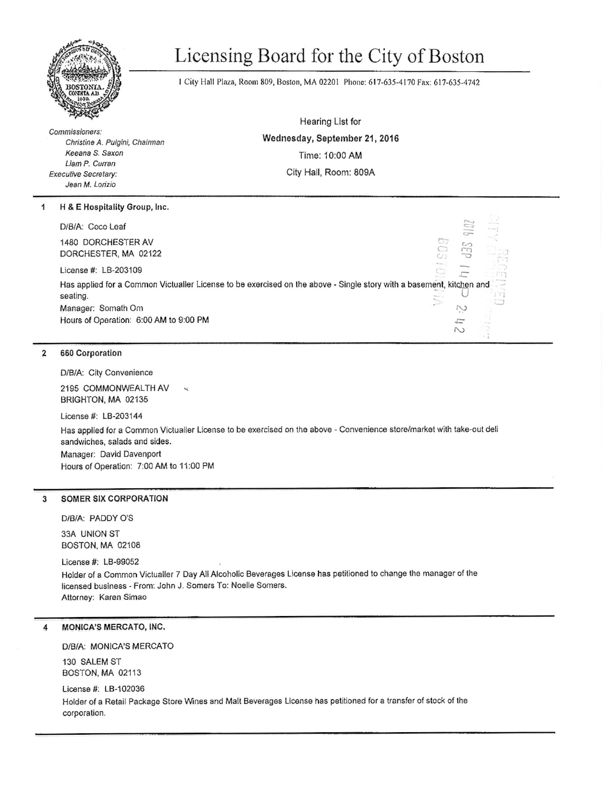

# Licensing Board for the City of Boston

1 City Hall Plaza, Room 809, Boston, MA 02201 Phone: 617-635-4170 Fax: 617-635-4742

Commissioners: Christine A. Pulgini, Chairman Keeana S. Saxon Liam P. Curran **Executive Secretary:** Jean M. Lorizio

H & E Hospitality Group, Inc. 1

D/B/A: Coco Leaf

1480 DORCHESTER AV DORCHESTER, MA 02122

License #: LB-203109

Has applied for a Common Victualler License to be exercised on the above - Single story with a basement, kitchen and seating. Manager: Somath Om  $\tilde{\sim}$ Hours of Operation: 6:00 AM to 9:00 PM F

### $\overline{2}$ 660 Corporation

D/B/A: City Convenience

2195 COMMONWEALTH AV BRIGHTON, MA 02135

License #: LB-203144

Has applied for a Common Victualler License to be exercised on the above - Convenience store/market with take-out deli sandwiches, salads and sides. Manager: David Davenport Hours of Operation: 7:00 AM to 11:00 PM

### **SOMER SIX CORPORATION** 3

DIBIA: PADDY O'S

33A UNION ST **BOSTON, MA 02108** 

License #: LB-99052 Holder of a Common Victualier 7 Day All Alcoholic Beverages License has petitioned to change the manager of the licensed business - From: John J. Somers To: Noelle Somers. Attorney: Karen Simao

#### MONICA'S MERCATO, INC. 4

D/B/A: MONICA'S MERCATO

130 SALEM ST BOSTON, MA 02113

### License #: LB-102036

Holder of a Retail Package Store Wines and Malt Beverages License has petitioned for a transfer of stock of the corporation.

Hearing List for Wednesday, September 21, 2016 Time: 10:00 AM City Hall, Room: 809A

 $\wedge$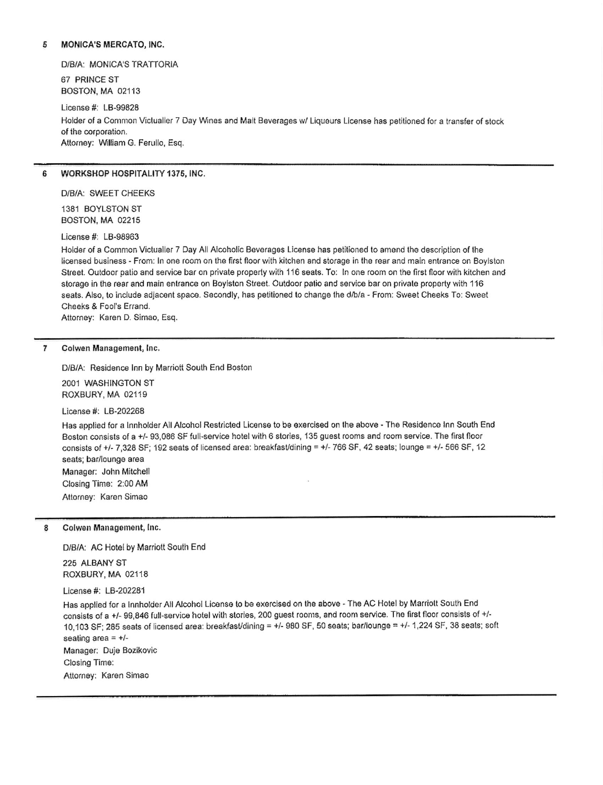## 5 MONICA'S MERCATO, INC.

D/B/A: MONICA'S TRATTORIA

67 PRINCE ST BOSTON, MA 02113

License #: LB-99828 Holder of a Common Victualler 7 Day Wines and Malt Beverages w/ Liqueurs License has petitioned for a transfer of stock of the corporation. Attorney: William G. Ferullo, Esq.

# 6 WORKSHOP HOSPITALITY 1376, INC.

D/B/A: SWEET CHEEKS 1381 BOYLSTON ST

BOSTON, MA 02215

License #: LB-98963

Holder of a Common Victualler 7 Day All Alcoholic Beverages License has petitioned to amend the description of the licensed business - From: In one room on the first floor with kitchen and storage in the rear and main entrance on Boylston Street. Outdoor patio and service bar on private property with 116 seats. To: In one room on the first floor with kitchen and storage in the rear and main entrance on Boylston Street. Outdoor patio and service bar on private property with 116 seats. Also, to include adjacent space. Secondly, has petitioned to change the d/b/a - From: Sweet Cheeks To: Sweet Cheeks & Fool's Errand.

Attorney: Karen D. Simao, Esq.

### 7 Colwen Management, lnc,

D/B/A: Residence Inn by Marriott South End Boston

2OO1 WASHINGTON ST ROXBURY, MA 02119

License #: LB-202268

Has applied for a lnnholder All Alcohol Restricted License to be exercised on the above - The Residence Inn South End Boston consists of a +/- 93,086 SF full-service hotel with 6 stories, 135 guest rooms and room service. The first floor consists of +/- 7,328 SF; 192 seats of licensed area: breakfast/dining = +/- 766 SF, 42 seats; lounge = +/- 566 SF, 12 seats; bar/lounge area Manager: John Mitchell Closing Time: 2:00 AM Attorney: Karen Simao

8 Colwen Management, Inc.

D/B/A: AC Hotel by Marriott South End

225 ALBANY ST ROXBURY, MA 02118

License #: LB-202281

Has applied for a Innholder All Alcohol License to be exercised on the above - The AC Hotel by Marriott South End consists of a +/- 99,846 full-service hotel with stories, 200 guest rooms, and room service. The first floor consists of +/-10,103 SF; 285 seats of licensed area: breakfast/dining =  $+/$ - 980 SF, 50 seats; bar/lounge =  $+/$ - 1,224 SF, 38 seats; soft seating area  $= +/-$ Manager: Duje Bozikovic Closing Time: Attorney; Karen Simao